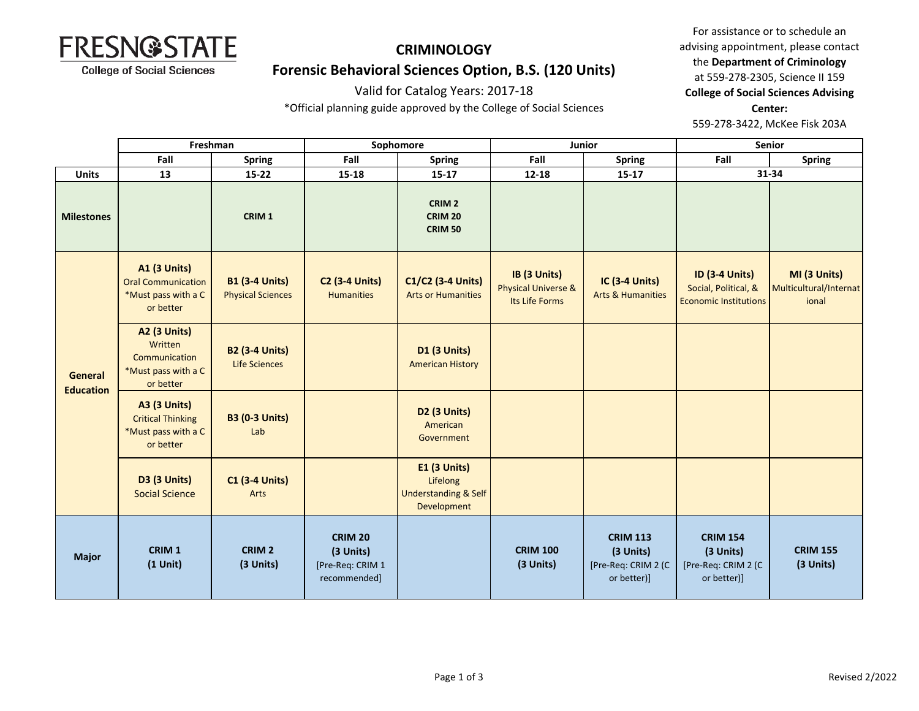

### **Forensic Behavioral Sciences Option, B.S. (120 Units)**

#### Valid for Catalog Years: 2017-18

\*Official planning guide approved by the College of Social Sciences

For assistance or to schedule an advising appointment, please contact the **Department of Criminology** at 559-278-2305, Science II 159 **College of Social Sciences Advising Center:**  559-278-3422, McKee Fisk 203A

|                             | Freshman                                                                             |                                                   | Sophomore                                                       |                                                                                   | Junior                                                           |                                                                    | Senior                                                                        |                                                 |
|-----------------------------|--------------------------------------------------------------------------------------|---------------------------------------------------|-----------------------------------------------------------------|-----------------------------------------------------------------------------------|------------------------------------------------------------------|--------------------------------------------------------------------|-------------------------------------------------------------------------------|-------------------------------------------------|
|                             | Fall                                                                                 | <b>Spring</b>                                     | Fall                                                            | <b>Spring</b>                                                                     | Fall                                                             | <b>Spring</b>                                                      | Fall                                                                          | <b>Spring</b>                                   |
| <b>Units</b>                | 13                                                                                   | $15 - 22$                                         | 15-18                                                           | $15 - 17$                                                                         | 12-18                                                            | $15 - 17$                                                          |                                                                               | 31-34                                           |
| <b>Milestones</b>           |                                                                                      | CRIM <sub>1</sub>                                 |                                                                 | CRIM <sub>2</sub><br><b>CRIM 20</b><br><b>CRIM 50</b>                             |                                                                  |                                                                    |                                                                               |                                                 |
|                             | <b>A1 (3 Units)</b><br><b>Oral Communication</b><br>*Must pass with a C<br>or better | <b>B1 (3-4 Units)</b><br><b>Physical Sciences</b> | <b>C2 (3-4 Units)</b><br><b>Humanities</b>                      | C1/C2 (3-4 Units)<br><b>Arts or Humanities</b>                                    | IB (3 Units)<br><b>Physical Universe &amp;</b><br>Its Life Forms | <b>IC (3-4 Units)</b><br><b>Arts &amp; Humanities</b>              | <b>ID (3-4 Units)</b><br>Social, Political, &<br><b>Economic Institutions</b> | MI (3 Units)<br>Multicultural/Internat<br>ional |
| General<br><b>Education</b> | <b>A2 (3 Units)</b><br>Written<br>Communication<br>*Must pass with a C<br>or better  | <b>B2 (3-4 Units)</b><br><b>Life Sciences</b>     |                                                                 | <b>D1 (3 Units)</b><br><b>American History</b>                                    |                                                                  |                                                                    |                                                                               |                                                 |
|                             | <b>A3 (3 Units)</b><br><b>Critical Thinking</b><br>*Must pass with a C<br>or better  | <b>B3 (0-3 Units)</b><br>Lab                      |                                                                 | D <sub>2</sub> (3 Units)<br>American<br>Government                                |                                                                  |                                                                    |                                                                               |                                                 |
|                             | <b>D3 (3 Units)</b><br><b>Social Science</b>                                         | <b>C1 (3-4 Units)</b><br>Arts                     |                                                                 | <b>E1 (3 Units)</b><br>Lifelong<br><b>Understanding &amp; Self</b><br>Development |                                                                  |                                                                    |                                                                               |                                                 |
| <b>Major</b>                | CRIM <sub>1</sub><br>$(1$ Unit)                                                      | CRIM <sub>2</sub><br>(3 Units)                    | <b>CRIM 20</b><br>(3 Units)<br>[Pre-Req: CRIM 1<br>recommended] |                                                                                   | <b>CRIM 100</b><br>(3 Units)                                     | <b>CRIM 113</b><br>(3 Units)<br>[Pre-Req: CRIM 2 (C<br>or better)] | <b>CRIM 154</b><br>(3 Units)<br>[Pre-Req: CRIM 2 (C<br>or better)]            | <b>CRIM 155</b><br>(3 Units)                    |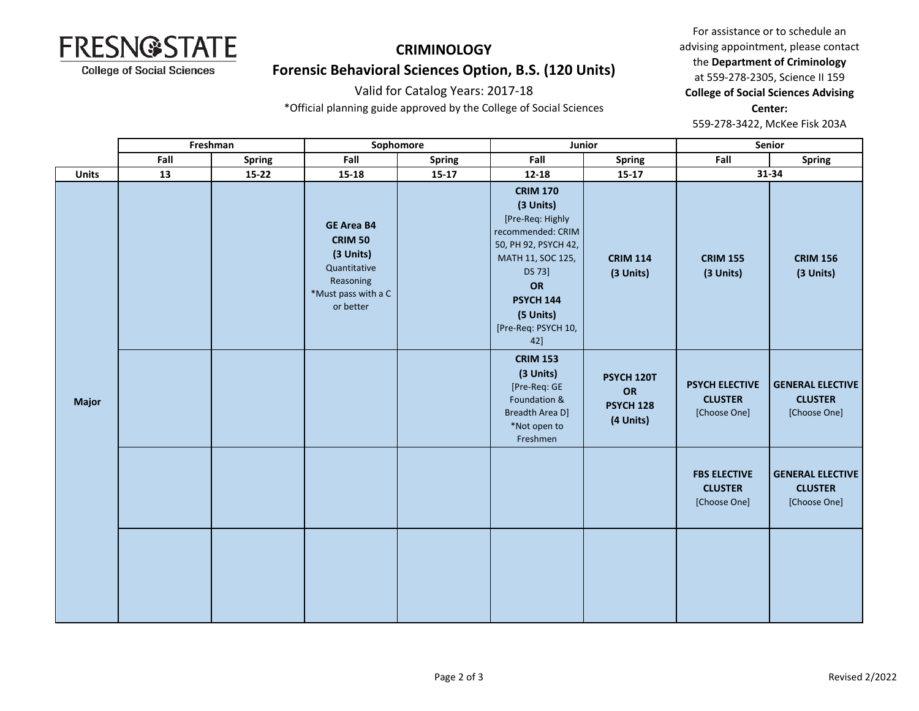

## **Forensic Behavioral Sciences Option, B.S. (120 Units)**

#### Valid for Catalog Years: 2017-18

\*Official planning guide approved by the College of Social Sciences

For assistance or to schedule an advising appointment, please contact the **Department of Criminology** at 559-278-2305, Science II 159 **College of Social Sciences Advising Center:**  559-278-3422, McKee Fisk 203A

|              | Freshman |               | Sophomore                                                                                                         |         | Junior                                                                                                                                                                                            |                                                   | Senior                                                  |                                                           |
|--------------|----------|---------------|-------------------------------------------------------------------------------------------------------------------|---------|---------------------------------------------------------------------------------------------------------------------------------------------------------------------------------------------------|---------------------------------------------------|---------------------------------------------------------|-----------------------------------------------------------|
|              | Fall     | <b>Spring</b> | Fall                                                                                                              | Spring  | Fall                                                                                                                                                                                              | <b>Spring</b>                                     | Fall                                                    | Spring                                                    |
| <b>Units</b> | 13       | $15 - 22$     | $15 - 18$                                                                                                         | $15-17$ | $12 - 18$                                                                                                                                                                                         | $15-17$                                           | 31-34                                                   |                                                           |
|              |          |               | <b>GE Area B4</b><br><b>CRIM 50</b><br>(3 Units)<br>Quantitative<br>Reasoning<br>*Must pass with a C<br>or better |         | <b>CRIM 170</b><br>(3 Units)<br>[Pre-Req: Highly<br>recommended: CRIM<br>50, PH 92, PSYCH 42,<br>MATH 11, SOC 125,<br>DS 73]<br>OR<br><b>PSYCH 144</b><br>(5 Units)<br>[Pre-Req: PSYCH 10,<br>42] | <b>CRIM 114</b><br>(3 Units)                      | <b>CRIM 155</b><br>(3 Units)                            | <b>CRIM 156</b><br>(3 Units)                              |
| <b>Major</b> |          |               |                                                                                                                   |         | <b>CRIM 153</b><br>(3 Units)<br>[Pre-Req: GE<br>Foundation &<br>Breadth Area D]<br>*Not open to<br>Freshmen                                                                                       | PSYCH 120T<br>OR<br><b>PSYCH 128</b><br>(4 Units) | <b>PSYCH ELECTIVE</b><br><b>CLUSTER</b><br>[Choose One] | <b>GENERAL ELECTIVE</b><br><b>CLUSTER</b><br>[Choose One] |
|              |          |               |                                                                                                                   |         |                                                                                                                                                                                                   |                                                   | <b>FBS ELECTIVE</b><br><b>CLUSTER</b><br>[Choose One]   | <b>GENERAL ELECTIVE</b><br><b>CLUSTER</b><br>[Choose One] |
|              |          |               |                                                                                                                   |         |                                                                                                                                                                                                   |                                                   |                                                         |                                                           |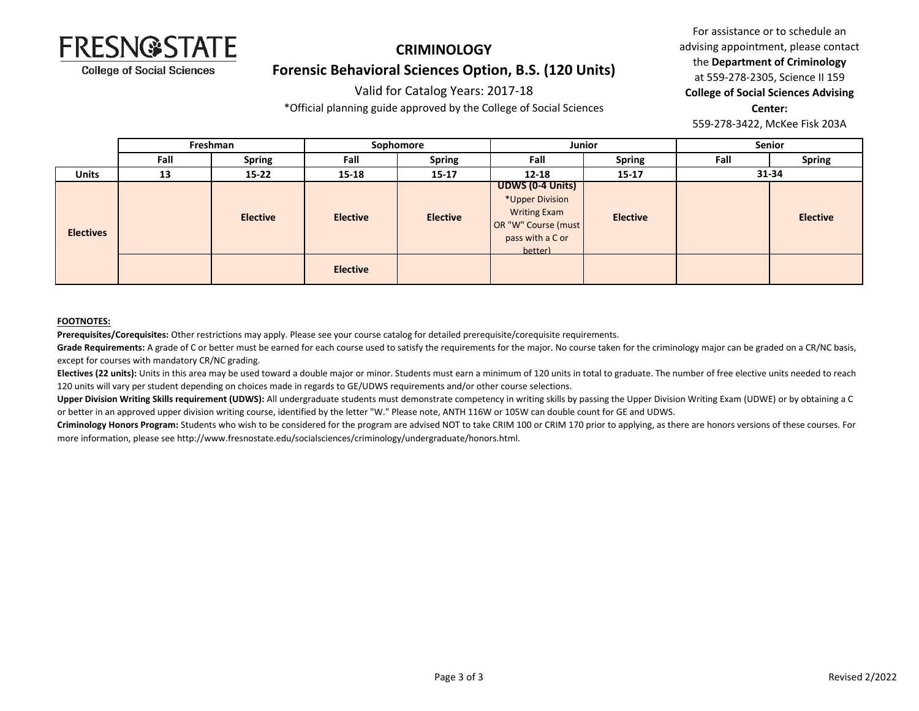

## **CRIMINOLOGY Forensic Behavioral Sciences Option, B.S. (120 Units)**

#### Valid for Catalog Years: 2017-18

\*Official planning guide approved by the College of Social Sciences

For assistance or to schedule an advising appointment, please contact the **Department of Criminology** at 559-278-2305, Science II 159 **College of Social Sciences Advising Center:**  559-278-3422, McKee Fisk 203A

|                  | Freshman |                 | Sophomore       |                 | Junior                                                                                                           |                 | Senior |                 |
|------------------|----------|-----------------|-----------------|-----------------|------------------------------------------------------------------------------------------------------------------|-----------------|--------|-----------------|
|                  | Fall     | <b>Spring</b>   | Fall            | <b>Spring</b>   | Fall                                                                                                             | <b>Spring</b>   | Fall   | <b>Spring</b>   |
| <b>Units</b>     | 13       | $15 - 22$       | 15-18           | $15 - 17$       | $12 - 18$                                                                                                        | $15 - 17$       |        | $31 - 34$       |
| <b>Electives</b> |          | <b>Elective</b> | <b>Elective</b> | <b>Elective</b> | UDWS (0-4 Units)<br>*Upper Division<br><b>Writing Exam</b><br>OR "W" Course (must<br>pass with a C or<br>hetter) | <b>Elective</b> |        | <b>Elective</b> |
|                  |          |                 | <b>Elective</b> |                 |                                                                                                                  |                 |        |                 |

#### **FOOTNOTES:**

**Prerequisites/Corequisites:** Other restrictions may apply. Please see your course catalog for detailed prerequisite/corequisite requirements.

Grade Requirements: A grade of C or better must be earned for each course used to satisfy the requirements for the major. No course taken for the criminology major can be graded on a CR/NC basis, except for courses with mandatory CR/NC grading.

Electives (22 units): Units in this area may be used toward a double major or minor. Students must earn a minimum of 120 units in total to graduate. The number of free elective units needed to reach 120 units will vary per student depending on choices made in regards to GE/UDWS requirements and/or other course selections.

**Upper Division Writing Skills requirement (UDWS):** All undergraduate students must demonstrate competency in writing skills by passing the Upper Division Writing Exam (UDWE) or by obtaining a C or better in an approved upper division writing course, identified by the letter "W." Please note, ANTH 116W or 105W can double count for GE and UDWS.

**Criminology Honors Program:** Students who wish to be considered for the program are advised NOT to take CRIM 100 or CRIM 170 prior to applying, as there are honors versions of these courses. For more information, please see http://www.fresnostate.edu/socialsciences/criminology/undergraduate/honors.html.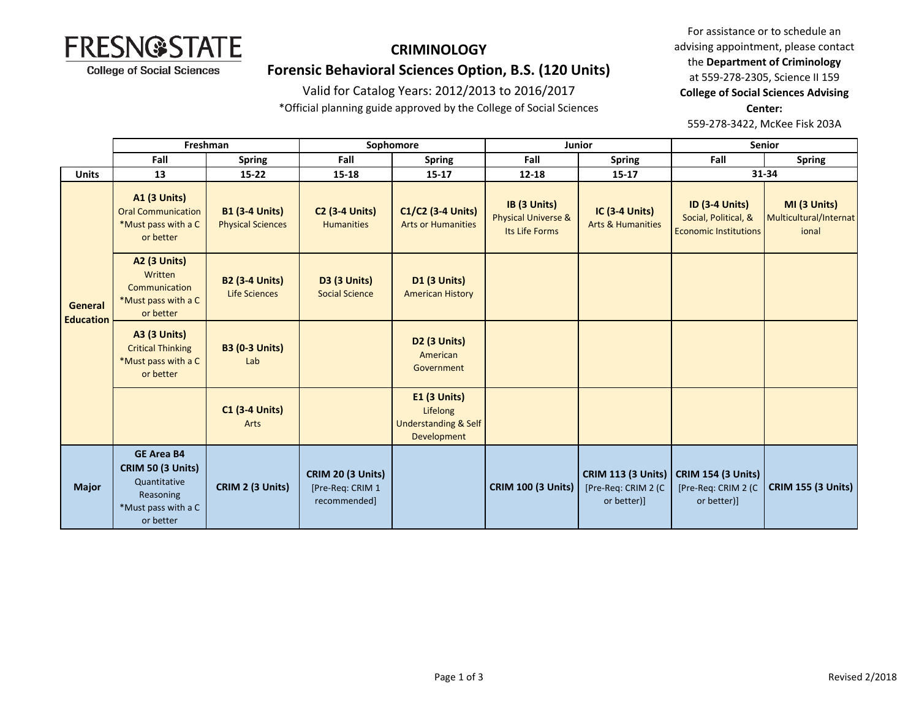

### **Forensic Behavioral Sciences Option, B.S. (120 Units)**

#### Valid for Catalog Years: 2012/2013 to 2016/2017

\*Official planning guide approved by the College of Social Sciences

For assistance or to schedule an advising appointment, please contact the **Department of Criminology** at 559-278-2305, Science II 159 **College of Social Sciences Advising Center:** 

559-278-3422, McKee Fisk 203A

|                                    | Freshman                                                                                                       |                                                   | Sophomore                                                    |                                                                                   | Junior                                                           |                                                                 | <b>Senior</b>                                                                 |                                                 |
|------------------------------------|----------------------------------------------------------------------------------------------------------------|---------------------------------------------------|--------------------------------------------------------------|-----------------------------------------------------------------------------------|------------------------------------------------------------------|-----------------------------------------------------------------|-------------------------------------------------------------------------------|-------------------------------------------------|
|                                    | Fall                                                                                                           | Spring                                            | Fall                                                         | <b>Spring</b>                                                                     | Fall                                                             | <b>Spring</b>                                                   | Fall                                                                          | <b>Spring</b>                                   |
| <b>Units</b>                       | 13                                                                                                             | $15 - 22$                                         | 15-18                                                        | $15 - 17$                                                                         | 12-18                                                            | $15 - 17$                                                       |                                                                               | 31-34                                           |
| <b>General</b><br><b>Education</b> | <b>A1 (3 Units)</b><br><b>Oral Communication</b><br>*Must pass with a C<br>or better                           | <b>B1 (3-4 Units)</b><br><b>Physical Sciences</b> | <b>C2 (3-4 Units)</b><br><b>Humanities</b>                   | C1/C2 (3-4 Units)<br><b>Arts or Humanities</b>                                    | IB (3 Units)<br><b>Physical Universe &amp;</b><br>Its Life Forms | <b>IC (3-4 Units)</b><br><b>Arts &amp; Humanities</b>           | <b>ID (3-4 Units)</b><br>Social, Political, &<br><b>Economic Institutions</b> | MI (3 Units)<br>Multicultural/Internat<br>ional |
|                                    | <b>A2 (3 Units)</b><br>Written<br>Communication<br>*Must pass with a C<br>or better                            | <b>B2 (3-4 Units)</b><br>Life Sciences            | <b>D3 (3 Units)</b><br><b>Social Science</b>                 | <b>D1 (3 Units)</b><br><b>American History</b>                                    |                                                                  |                                                                 |                                                                               |                                                 |
|                                    | <b>A3 (3 Units)</b><br><b>Critical Thinking</b><br>*Must pass with a C<br>or better                            | <b>B3 (0-3 Units)</b><br>Lab                      |                                                              | <b>D2 (3 Units)</b><br>American<br>Government                                     |                                                                  |                                                                 |                                                                               |                                                 |
|                                    |                                                                                                                | <b>C1 (3-4 Units)</b><br><b>Arts</b>              |                                                              | <b>E1 (3 Units)</b><br>Lifelong<br><b>Understanding &amp; Self</b><br>Development |                                                                  |                                                                 |                                                                               |                                                 |
| <b>Major</b>                       | <b>GE Area B4</b><br><b>CRIM 50 (3 Units)</b><br>Quantitative<br>Reasoning<br>*Must pass with a C<br>or better | CRIM 2 (3 Units)                                  | <b>CRIM 20 (3 Units)</b><br>[Pre-Req: CRIM 1<br>recommended] |                                                                                   | <b>CRIM 100 (3 Units)</b>                                        | <b>CRIM 113 (3 Units)</b><br>[Pre-Req: CRIM 2 (C<br>or better)] | <b>CRIM 154 (3 Units)</b><br>[Pre-Req: CRIM 2 (C<br>or better)]               | <b>CRIM 155 (3 Units)</b>                       |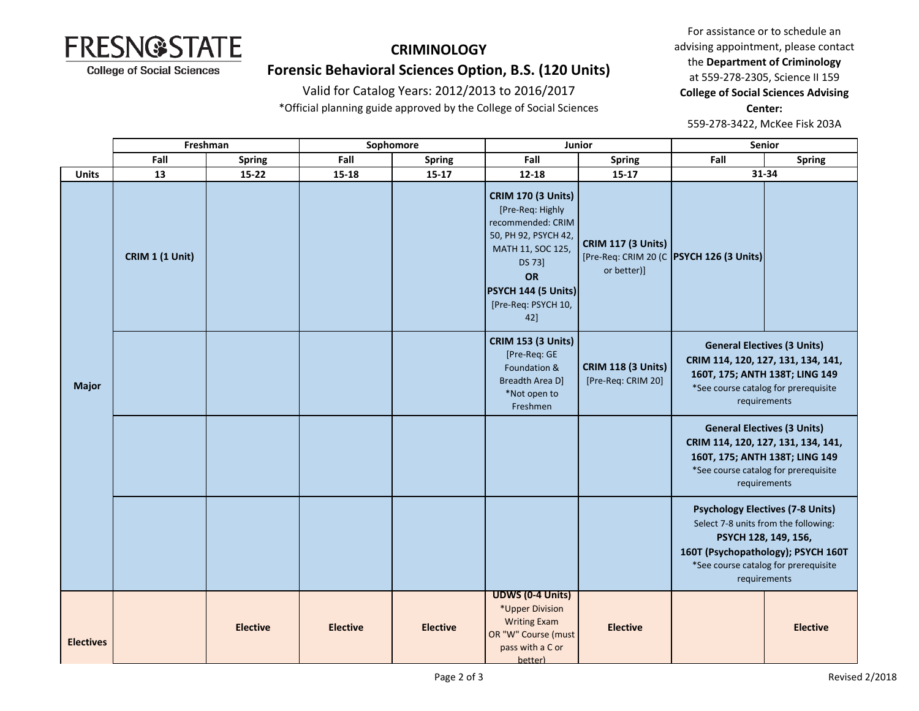

## **Forensic Behavioral Sciences Option, B.S. (120 Units)**

#### Valid for Catalog Years: 2012/2013 to 2016/2017

\*Official planning guide approved by the College of Social Sciences

For assistance or to schedule an advising appointment, please contact the **Department of Criminology** at 559-278-2305, Science II 159 **College of Social Sciences Advising Center:**  559-278-3422, McKee Fisk 203A

|                  | Freshman<br>Sophomore  |                 | Junior          |                 | <b>Senior</b>                                                                                                                                                                        |                                                 |                                                                                                                                                                                                       |                 |
|------------------|------------------------|-----------------|-----------------|-----------------|--------------------------------------------------------------------------------------------------------------------------------------------------------------------------------------|-------------------------------------------------|-------------------------------------------------------------------------------------------------------------------------------------------------------------------------------------------------------|-----------------|
|                  | Fall                   | <b>Spring</b>   | Fall            | <b>Spring</b>   | Fall                                                                                                                                                                                 | <b>Spring</b>                                   | Fall                                                                                                                                                                                                  | <b>Spring</b>   |
| <b>Units</b>     | 13                     | $15 - 22$       | 15-18           | $15 - 17$       | $12 - 18$                                                                                                                                                                            | $15 - 17$                                       | 31-34                                                                                                                                                                                                 |                 |
| <b>Major</b>     | <b>CRIM 1 (1 Unit)</b> |                 |                 |                 | <b>CRIM 170 (3 Units)</b><br>[Pre-Req: Highly<br>recommended: CRIM<br>50, PH 92, PSYCH 42,<br>MATH 11, SOC 125,<br>DS 73]<br>OR<br>PSYCH 144 (5 Units)<br>[Pre-Req: PSYCH 10,<br>42] | <b>CRIM 117 (3 Units)</b><br>or better)]        | [Pre-Req: CRIM 20 (C   PSYCH 126 (3 Units)                                                                                                                                                            |                 |
|                  |                        |                 |                 |                 | <b>CRIM 153 (3 Units)</b><br>[Pre-Req: GE<br>Foundation &<br>Breadth Area D]<br>*Not open to<br>Freshmen                                                                             | <b>CRIM 118 (3 Units)</b><br>[Pre-Req: CRIM 20] | <b>General Electives (3 Units)</b><br>CRIM 114, 120, 127, 131, 134, 141,<br>160T, 175; ANTH 138T; LING 149<br>*See course catalog for prerequisite<br>requirements                                    |                 |
|                  |                        |                 |                 |                 |                                                                                                                                                                                      |                                                 | <b>General Electives (3 Units)</b><br>CRIM 114, 120, 127, 131, 134, 141,<br>160T, 175; ANTH 138T; LING 149<br>*See course catalog for prerequisite<br>requirements                                    |                 |
|                  |                        |                 |                 |                 |                                                                                                                                                                                      |                                                 | <b>Psychology Electives (7-8 Units)</b><br>Select 7-8 units from the following:<br>PSYCH 128, 149, 156,<br>160T (Psychopathology); PSYCH 160T<br>*See course catalog for prerequisite<br>requirements |                 |
| <b>Electives</b> |                        | <b>Elective</b> | <b>Elective</b> | <b>Elective</b> | <b>UDWS (0-4 Units)</b><br>*Upper Division<br><b>Writing Exam</b><br>OR "W" Course (must<br>pass with a C or<br>better)                                                              | <b>Elective</b>                                 |                                                                                                                                                                                                       | <b>Elective</b> |